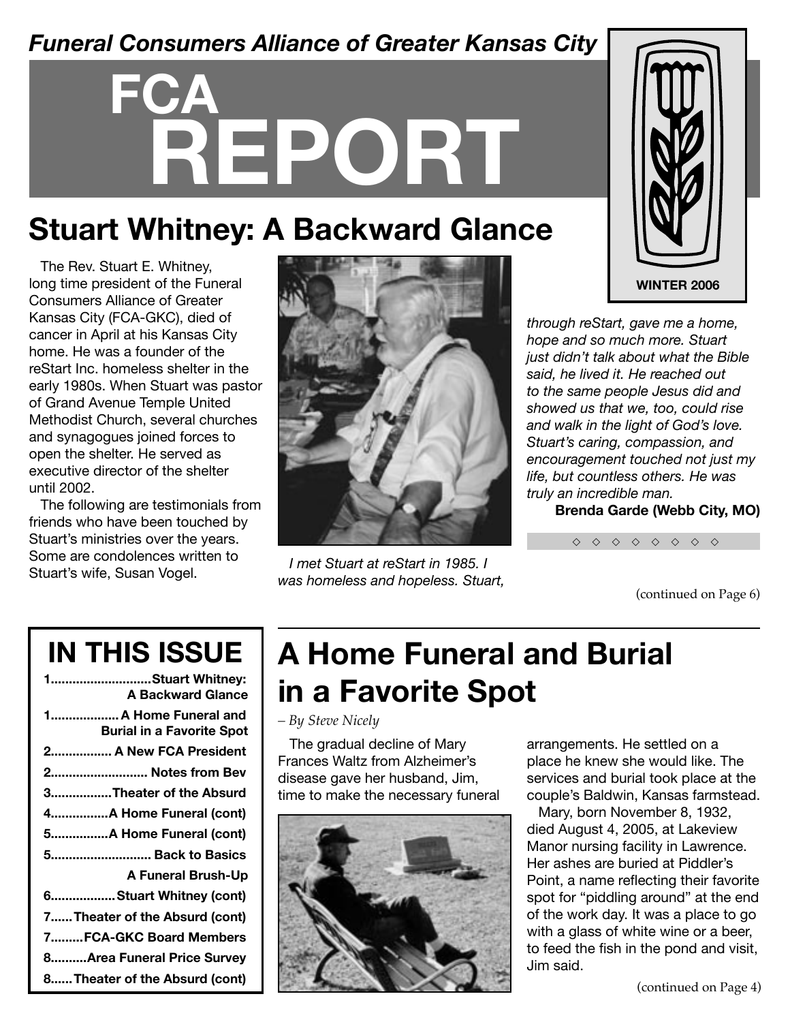#### *Funeral Consumers Alliance of Greater Kansas City*

# **FCA REPORT**

## **Stuart Whitney: A Backward Glance**

The Rev. Stuart E. Whitney, long time president of the Funeral Consumers Alliance of Greater Kansas City (FCA-GKC), died of cancer in April at his Kansas City home. He was a founder of the reStart Inc. homeless shelter in the early 1980s. When Stuart was pastor of Grand Avenue Temple United Methodist Church, several churches and synagogues joined forces to open the shelter. He served as executive director of the shelter until 2002.

The following are testimonials from friends who have been touched by Stuart's ministries over the years. Some are condolences written to Stuart's wife, Susan Vogel. *I met Stuart at reStart in 1985. I* 



*was homeless and hopeless. Stuart,* 



*through reStart, gave me a home, hope and so much more. Stuart just didn't talk about what the Bible said, he lived it. He reached out to the same people Jesus did and showed us that we, too, could rise and walk in the light of God's love. Stuart's caring, compassion, and encouragement touched not just my life, but countless others. He was truly an incredible man.* 

**Brenda Garde (Webb City, MO)**

```
◇ ◇ ◇ ◇ ◇ ◇ ◇ ◇
```
(continued on Page 6)

## **IN THIS ISSUE**

| 1Stuart Whitney:<br><b>A Backward Glance</b>            |
|---------------------------------------------------------|
| 1A Home Funeral and<br><b>Burial in a Favorite Spot</b> |
| 2 A New FCA President                                   |
| 2 Notes from Bev                                        |
| 3Theater of the Absurd                                  |
| 4A Home Funeral (cont)                                  |
| 5A Home Funeral (cont)                                  |
| 5 Back to Basics                                        |
| A Funeral Brush-Up                                      |
| 6Stuart Whitney (cont)                                  |
| 7 Theater of the Absurd (cont)                          |
| 7FCA-GKC Board Members                                  |
| 8Area Funeral Price Survey                              |
| 8 Theater of the Absurd (cont)                          |

## **A Home Funeral and Burial in a Favorite Spot**

*– By Steve Nicely*

The gradual decline of Mary Frances Waltz from Alzheimer's disease gave her husband, Jim, time to make the necessary funeral



arrangements. He settled on a place he knew she would like. The services and burial took place at the couple's Baldwin, Kansas farmstead.

Mary, born November 8, 1932, died August 4, 2005, at Lakeview Manor nursing facility in Lawrence. Her ashes are buried at Piddler's Point, a name reflecting their favorite spot for "piddling around" at the end of the work day. It was a place to go with a glass of white wine or a beer, to feed the fish in the pond and visit, Jim said.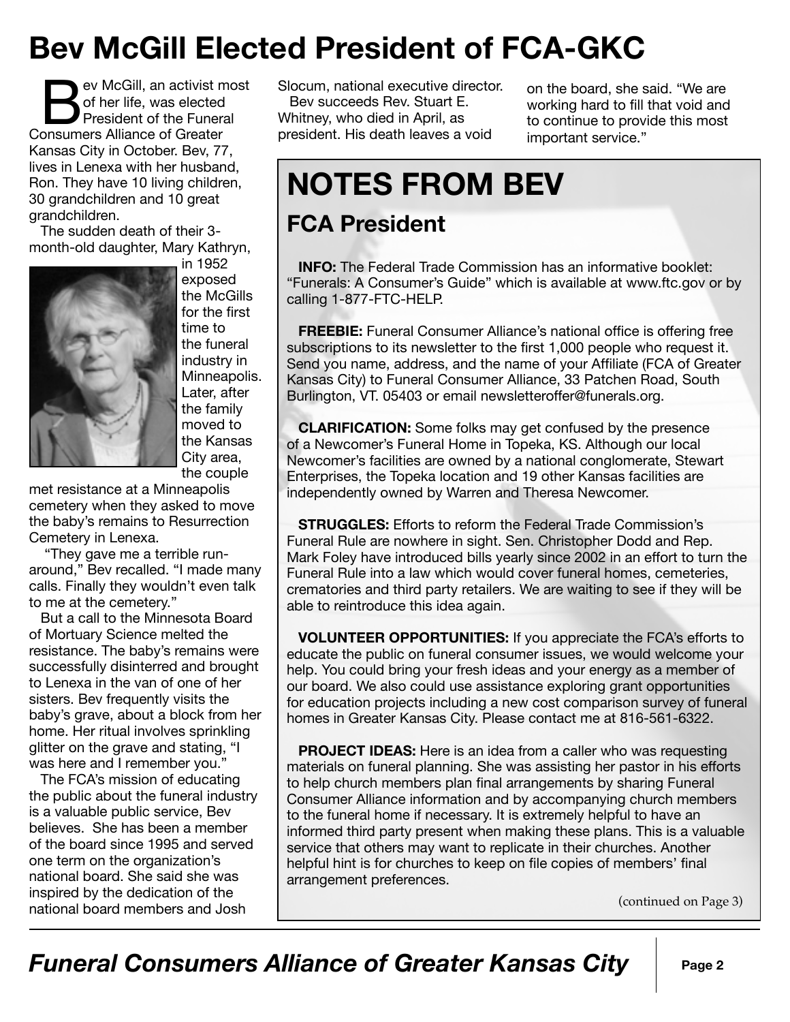## **Bev McGill Elected President of FCA-GKC**

ev McGill, an activist most of her life, was elected President of the Funeral Consumers Alliance of Greater Kansas City in October. Bev, 77, lives in Lenexa with her husband, Ron. They have 10 living children, 30 grandchildren and 10 great grandchildren.

The sudden death of their 3 month-old daughter, Mary Kathryn,



in 1952 exposed the McGills for the first time to the funeral industry in Minneapolis. Later, after the family moved to the Kansas City area, the couple

met resistance at a Minneapolis cemetery when they asked to move the baby's remains to Resurrection Cemetery in Lenexa.

 "They gave me a terrible runaround," Bev recalled. "I made many calls. Finally they wouldn't even talk to me at the cemetery."

But a call to the Minnesota Board of Mortuary Science melted the resistance. The baby's remains were successfully disinterred and brought to Lenexa in the van of one of her sisters. Bev frequently visits the baby's grave, about a block from her home. Her ritual involves sprinkling glitter on the grave and stating, "I was here and I remember you."

The FCA's mission of educating the public about the funeral industry is a valuable public service, Bev believes. She has been a member of the board since 1995 and served one term on the organization's national board. She said she was inspired by the dedication of the national board members and Josh

Slocum, national executive director. Bev succeeds Rev. Stuart E. Whitney, who died in April, as president. His death leaves a void

on the board, she said. "We are working hard to fill that void and to continue to provide this most important service."

## **NOTES FROM BEV**

#### **FCA President**

**INFO:** The Federal Trade Commission has an informative booklet: "Funerals: A Consumer's Guide" which is available at www.ftc.gov or by calling 1-877-FTC-HELP.

**FREEBIE:** Funeral Consumer Alliance's national office is offering free subscriptions to its newsletter to the first 1,000 people who request it. Send you name, address, and the name of your Affiliate (FCA of Greater Kansas City) to Funeral Consumer Alliance, 33 Patchen Road, South Burlington, VT. 05403 or email newsletteroffer@funerals.org.

**CLARIFICATION:** Some folks may get confused by the presence of a Newcomer's Funeral Home in Topeka, KS. Although our local Newcomer's facilities are owned by a national conglomerate, Stewart Enterprises, the Topeka location and 19 other Kansas facilities are independently owned by Warren and Theresa Newcomer.

**STRUGGLES:** Efforts to reform the Federal Trade Commission's Funeral Rule are nowhere in sight. Sen. Christopher Dodd and Rep. Mark Foley have introduced bills yearly since 2002 in an effort to turn the Funeral Rule into a law which would cover funeral homes, cemeteries, crematories and third party retailers. We are waiting to see if they will be able to reintroduce this idea again.

**VOLUNTEER OPPORTUNITIES:** If you appreciate the FCA's efforts to educate the public on funeral consumer issues, we would welcome your help. You could bring your fresh ideas and your energy as a member of our board. We also could use assistance exploring grant opportunities for education projects including a new cost comparison survey of funeral homes in Greater Kansas City. Please contact me at 816-561-6322.

**PROJECT IDEAS:** Here is an idea from a caller who was requesting materials on funeral planning. She was assisting her pastor in his efforts to help church members plan final arrangements by sharing Funeral Consumer Alliance information and by accompanying church members to the funeral home if necessary. It is extremely helpful to have an informed third party present when making these plans. This is a valuable service that others may want to replicate in their churches. Another helpful hint is for churches to keep on file copies of members' final arrangement preferences.

(continued on Page 3)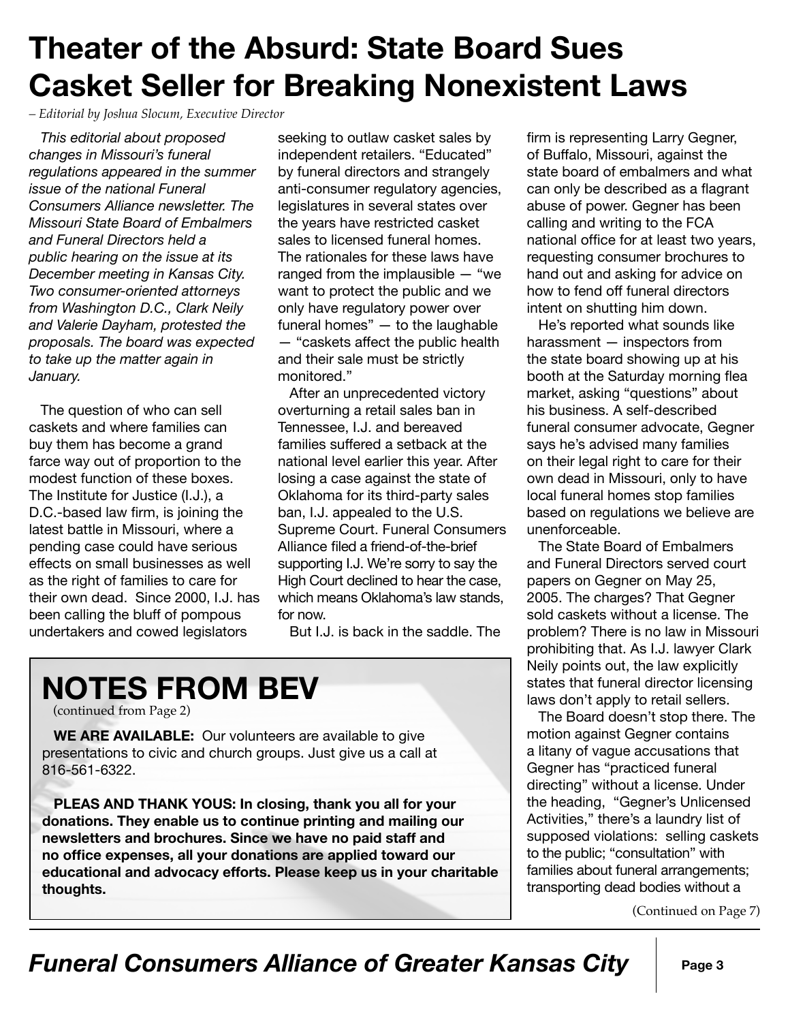## **Theater of the Absurd: State Board Sues Casket Seller for Breaking Nonexistent Laws**

*– Editorial by Joshua Slocum, Executive Director*

*This editorial about proposed changes in Missouri's funeral regulations appeared in the summer issue of the national Funeral Consumers Alliance newsletter. The Missouri State Board of Embalmers and Funeral Directors held a public hearing on the issue at its December meeting in Kansas City. Two consumer-oriented attorneys from Washington D.C., Clark Neily and Valerie Dayham, protested the proposals. The board was expected to take up the matter again in January.* 

The question of who can sell caskets and where families can buy them has become a grand farce way out of proportion to the modest function of these boxes. The Institute for Justice (I.J.), a D.C.-based law firm, is joining the latest battle in Missouri, where a pending case could have serious effects on small businesses as well as the right of families to care for their own dead. Since 2000, I.J. has been calling the bluff of pompous undertakers and cowed legislators

seeking to outlaw casket sales by independent retailers. "Educated" by funeral directors and strangely anti-consumer regulatory agencies, legislatures in several states over the years have restricted casket sales to licensed funeral homes. The rationales for these laws have ranged from the implausible — "we want to protect the public and we only have regulatory power over funeral homes" — to the laughable — "caskets affect the public health and their sale must be strictly monitored."

After an unprecedented victory overturning a retail sales ban in Tennessee, I.J. and bereaved families suffered a setback at the national level earlier this year. After losing a case against the state of Oklahoma for its third-party sales ban, I.J. appealed to the U.S. Supreme Court. Funeral Consumers Alliance filed a friend-of-the-brief supporting I.J. We're sorry to say the High Court declined to hear the case, which means Oklahoma's law stands, for now.

But I.J. is back in the saddle. The

## **NOTES FROM BEV**

(continued from Page 2)

**WE ARE AVAILABLE:** Our volunteers are available to give presentations to civic and church groups. Just give us a call at 816-561-6322.

**PLEAS AND THANK YOUS: In closing, thank you all for your donations. They enable us to continue printing and mailing our newsletters and brochures. Since we have no paid staff and no office expenses, all your donations are applied toward our educational and advocacy efforts. Please keep us in your charitable thoughts.**

firm is representing Larry Gegner, of Buffalo, Missouri, against the state board of embalmers and what can only be described as a flagrant abuse of power. Gegner has been calling and writing to the FCA national office for at least two years, requesting consumer brochures to hand out and asking for advice on how to fend off funeral directors intent on shutting him down.

He's reported what sounds like harassment — inspectors from the state board showing up at his booth at the Saturday morning flea market, asking "questions" about his business. A self-described funeral consumer advocate, Gegner says he's advised many families on their legal right to care for their own dead in Missouri, only to have local funeral homes stop families based on regulations we believe are unenforceable.

The State Board of Embalmers and Funeral Directors served court papers on Gegner on May 25, 2005. The charges? That Gegner sold caskets without a license. The problem? There is no law in Missouri prohibiting that. As I.J. lawyer Clark Neily points out, the law explicitly states that funeral director licensing laws don't apply to retail sellers.

The Board doesn't stop there. The motion against Gegner contains a litany of vague accusations that Gegner has "practiced funeral directing" without a license. Under the heading, "Gegner's Unlicensed Activities," there's a laundry list of supposed violations: selling caskets to the public; "consultation" with families about funeral arrangements; transporting dead bodies without a

(Continued on Page 7)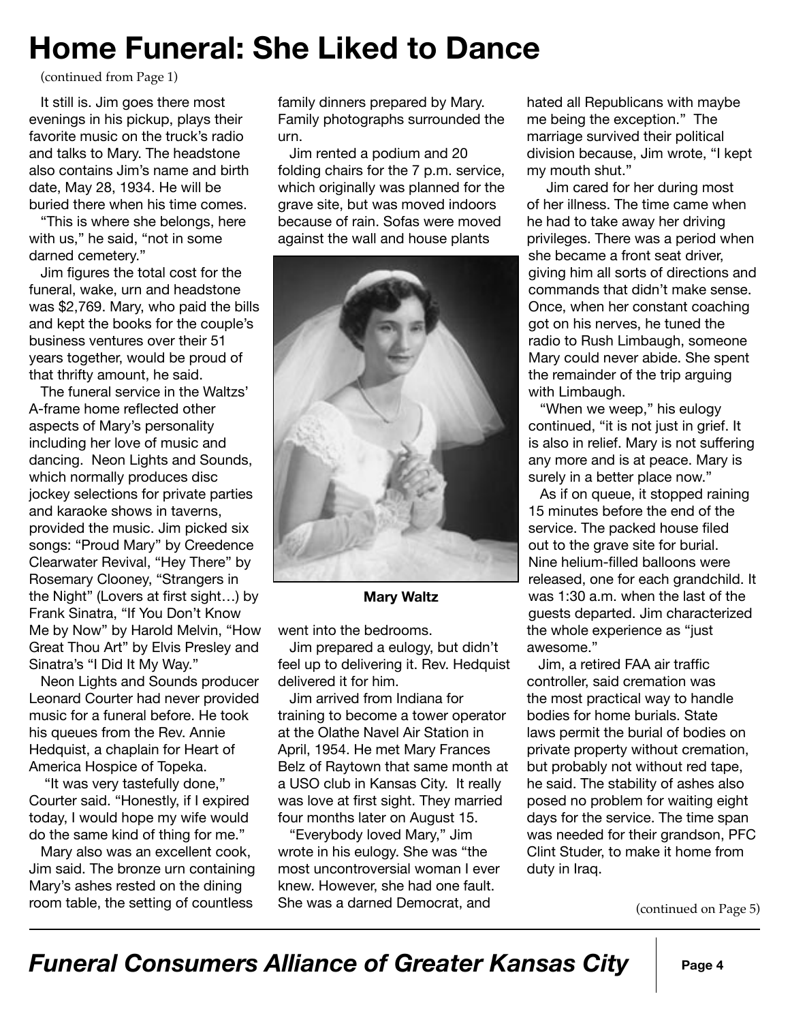## **Home Funeral: She Liked to Dance**

(continued from Page 1)

It still is. Jim goes there most evenings in his pickup, plays their favorite music on the truck's radio and talks to Mary. The headstone also contains Jim's name and birth date, May 28, 1934. He will be buried there when his time comes.

"This is where she belongs, here with us," he said, "not in some darned cemetery."

Jim figures the total cost for the funeral, wake, urn and headstone was \$2,769. Mary, who paid the bills and kept the books for the couple's business ventures over their 51 years together, would be proud of that thrifty amount, he said.

The funeral service in the Waltzs' A-frame home reflected other aspects of Mary's personality including her love of music and dancing. Neon Lights and Sounds, which normally produces disc jockey selections for private parties and karaoke shows in taverns, provided the music. Jim picked six songs: "Proud Mary" by Creedence Clearwater Revival, "Hey There" by Rosemary Clooney, "Strangers in the Night" (Lovers at first sight…) by Frank Sinatra, "If You Don't Know Me by Now" by Harold Melvin, "How Great Thou Art" by Elvis Presley and Sinatra's "I Did It My Way."

Neon Lights and Sounds producer Leonard Courter had never provided music for a funeral before. He took his queues from the Rev. Annie Hedquist, a chaplain for Heart of America Hospice of Topeka.

"It was very tastefully done," Courter said. "Honestly, if I expired today, I would hope my wife would do the same kind of thing for me."

Mary also was an excellent cook, Jim said. The bronze urn containing Mary's ashes rested on the dining room table, the setting of countless

family dinners prepared by Mary. Family photographs surrounded the urn.

Jim rented a podium and 20 folding chairs for the 7 p.m. service, which originally was planned for the grave site, but was moved indoors because of rain. Sofas were moved against the wall and house plants



**Mary Waltz**

went into the bedrooms.

Jim prepared a eulogy, but didn't feel up to delivering it. Rev. Hedquist delivered it for him.

Jim arrived from Indiana for training to become a tower operator at the Olathe Navel Air Station in April, 1954. He met Mary Frances Belz of Raytown that same month at a USO club in Kansas City. It really was love at first sight. They married four months later on August 15.

"Everybody loved Mary," Jim wrote in his eulogy. She was "the most uncontroversial woman I ever knew. However, she had one fault. She was a darned Democrat, and

hated all Republicans with maybe me being the exception." The marriage survived their political division because, Jim wrote, "I kept my mouth shut."

 Jim cared for her during most of her illness. The time came when he had to take away her driving privileges. There was a period when she became a front seat driver, giving him all sorts of directions and commands that didn't make sense. Once, when her constant coaching got on his nerves, he tuned the radio to Rush Limbaugh, someone Mary could never abide. She spent the remainder of the trip arguing with Limbaugh.

"When we weep," his eulogy continued, "it is not just in grief. It is also in relief. Mary is not suffering any more and is at peace. Mary is surely in a better place now."

As if on queue, it stopped raining 15 minutes before the end of the service. The packed house filed out to the grave site for burial. Nine helium-filled balloons were released, one for each grandchild. It was 1:30 a.m. when the last of the guests departed. Jim characterized the whole experience as "just awesome."

Jim, a retired FAA air traffic controller, said cremation was the most practical way to handle bodies for home burials. State laws permit the burial of bodies on private property without cremation, but probably not without red tape, he said. The stability of ashes also posed no problem for waiting eight days for the service. The time span was needed for their grandson, PFC Clint Studer, to make it home from duty in Iraq.

(continued on Page 5)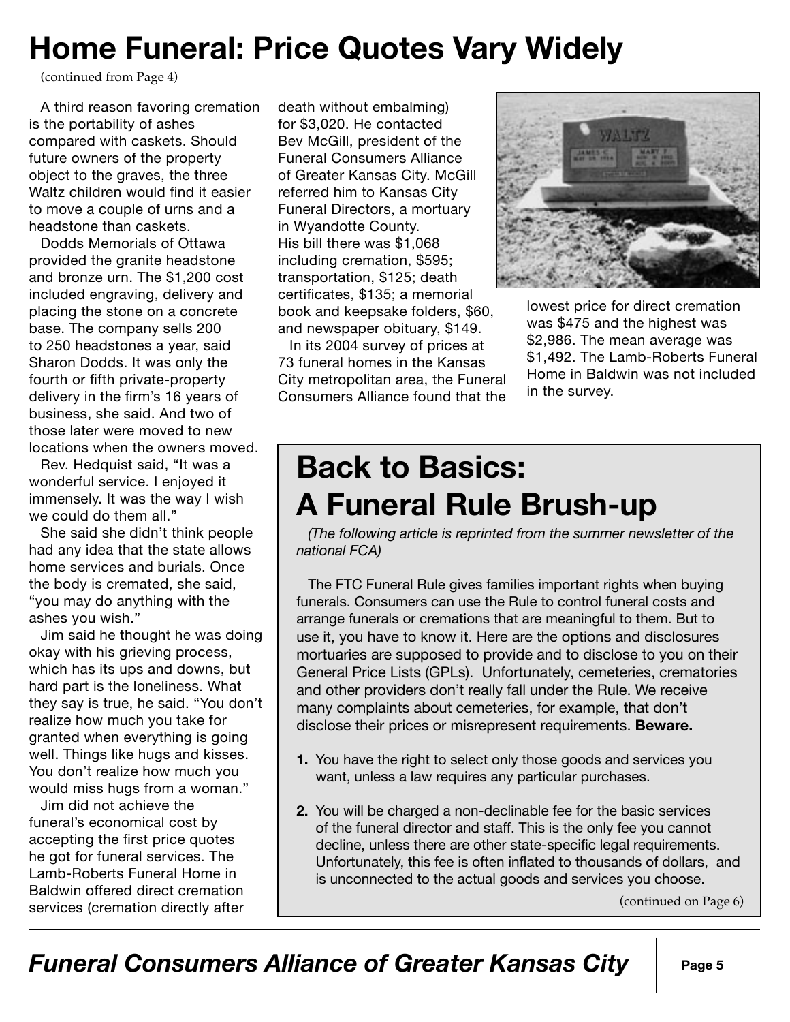## **Home Funeral: Price Quotes Vary Widely**

(continued from Page 4)

A third reason favoring cremation is the portability of ashes compared with caskets. Should future owners of the property object to the graves, the three Waltz children would find it easier to move a couple of urns and a headstone than caskets.

Dodds Memorials of Ottawa provided the granite headstone and bronze urn. The \$1,200 cost included engraving, delivery and placing the stone on a concrete base. The company sells 200 to 250 headstones a year, said Sharon Dodds. It was only the fourth or fifth private-property delivery in the firm's 16 years of business, she said. And two of those later were moved to new locations when the owners moved.

Rev. Hedquist said, "It was a wonderful service. I enjoyed it immensely. It was the way I wish we could do them all."

She said she didn't think people had any idea that the state allows home services and burials. Once the body is cremated, she said, "you may do anything with the ashes you wish."

Jim said he thought he was doing okay with his grieving process, which has its ups and downs, but hard part is the loneliness. What they say is true, he said. "You don't realize how much you take for granted when everything is going well. Things like hugs and kisses. You don't realize how much you would miss hugs from a woman."

Jim did not achieve the funeral's economical cost by accepting the first price quotes he got for funeral services. The Lamb-Roberts Funeral Home in Baldwin offered direct cremation services (cremation directly after

death without embalming) for \$3,020. He contacted Bev McGill, president of the Funeral Consumers Alliance of Greater Kansas City. McGill referred him to Kansas City Funeral Directors, a mortuary in Wyandotte County. His bill there was \$1,068 including cremation, \$595; transportation, \$125; death certificates, \$135; a memorial book and keepsake folders, \$60, and newspaper obituary, \$149. In its 2004 survey of prices at

73 funeral homes in the Kansas City metropolitan area, the Funeral Consumers Alliance found that the



lowest price for direct cremation was \$475 and the highest was \$2,986. The mean average was \$1,492. The Lamb-Roberts Funeral Home in Baldwin was not included in the survey.

#### **Back to Basics: A Funeral Rule Brush-up**

*(The following article is reprinted from the summer newsletter of the national FCA)*

The FTC Funeral Rule gives families important rights when buying funerals. Consumers can use the Rule to control funeral costs and arrange funerals or cremations that are meaningful to them. But to use it, you have to know it. Here are the options and disclosures mortuaries are supposed to provide and to disclose to you on their General Price Lists (GPLs). Unfortunately, cemeteries, crematories and other providers don't really fall under the Rule. We receive many complaints about cemeteries, for example, that don't disclose their prices or misrepresent requirements. **Beware.**

- **1.** You have the right to select only those goods and services you want, unless a law requires any particular purchases.
- **2.** You will be charged a non-declinable fee for the basic services of the funeral director and staff. This is the only fee you cannot decline, unless there are other state-specific legal requirements. Unfortunately, this fee is often inflated to thousands of dollars, and is unconnected to the actual goods and services you choose.

(continued on Page 6)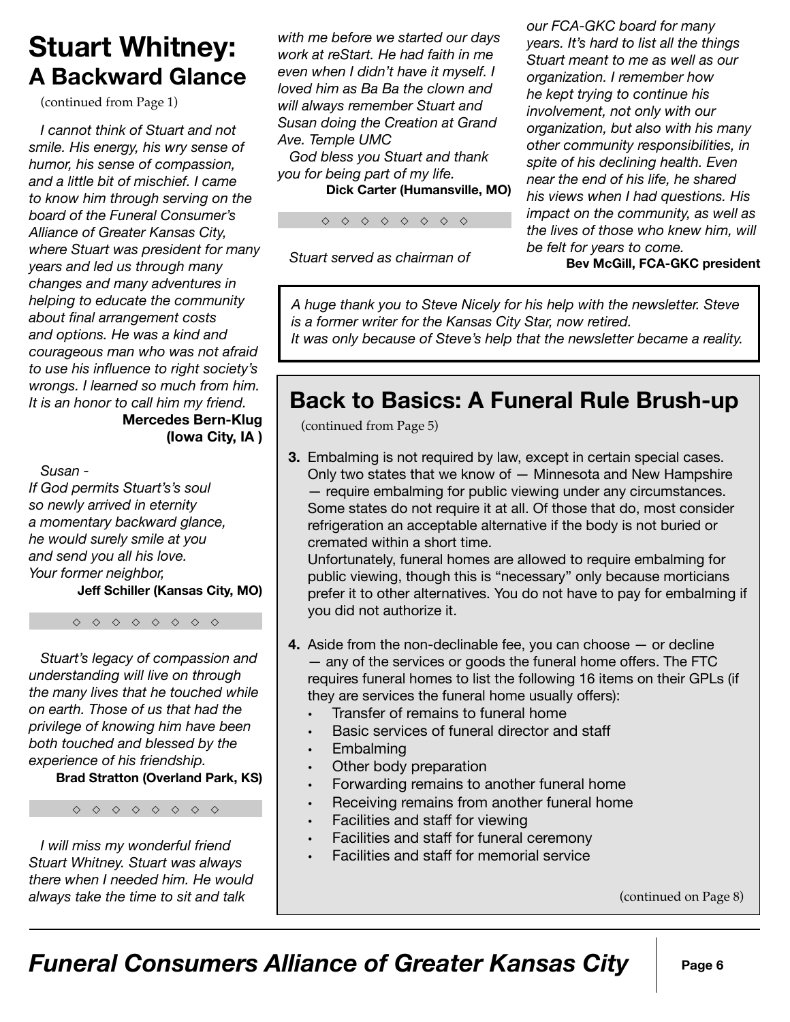#### **Stuart Whitney: A Backward Glance**

(continued from Page 1)

*I cannot think of Stuart and not smile. His energy, his wry sense of humor, his sense of compassion, and a little bit of mischief. I came to know him through serving on the board of the Funeral Consumer's Alliance of Greater Kansas City, where Stuart was president for many years and led us through many changes and many adventures in helping to educate the community about final arrangement costs and options. He was a kind and courageous man who was not afraid to use his influence to right society's wrongs. I learned so much from him. It is an honor to call him my friend.*  **Mercedes Bern-Klug** 

**(Iowa City, IA )** 

*Susan -* 

*If God permits Stuart's's soul so newly arrived in eternity a momentary backward glance, he would surely smile at you and send you all his love. Your former neighbor,*

**Jeff Schiller (Kansas City, MO)**

◇ ◇ ◇ ◇ ◇ ◇ ◇ ◇

*Stuart's legacy of compassion and understanding will live on through the many lives that he touched while on earth. Those of us that had the privilege of knowing him have been both touched and blessed by the experience of his friendship.*

**Brad Stratton (Overland Park, KS)**

◇ ◇ ◇ ◇ ◇ ◇ ◇ ◇

*I will miss my wonderful friend Stuart Whitney. Stuart was always there when I needed him. He would always take the time to sit and talk* 

*with me before we started our days work at reStart. He had faith in me even when I didn't have it myself. I loved him as Ba Ba the clown and will always remember Stuart and Susan doing the Creation at Grand Ave. Temple UMC* 

*God bless you Stuart and thank you for being part of my life.* **Dick Carter (Humansville, MO)** 

◇ ◇ ◇ ◇ ◇ ◇ ◇ ◇

*Stuart served as chairman of* 

*our FCA-GKC board for many years. It's hard to list all the things Stuart meant to me as well as our organization. I remember how he kept trying to continue his involvement, not only with our organization, but also with his many other community responsibilities, in spite of his declining health. Even near the end of his life, he shared his views when I had questions. His impact on the community, as well as the lives of those who knew him, will be felt for years to come.*

**Bev McGill, FCA-GKC president** 

*A huge thank you to Steve Nicely for his help with the newsletter. Steve is a former writer for the Kansas City Star, now retired.* 

*It was only because of Steve's help that the newsletter became a reality.*

#### **Back to Basics: A Funeral Rule Brush-up**

(continued from Page 5)

**3.** Embalming is not required by law, except in certain special cases. Only two states that we know of — Minnesota and New Hampshire — require embalming for public viewing under any circumstances. Some states do not require it at all. Of those that do, most consider refrigeration an acceptable alternative if the body is not buried or cremated within a short time.

 Unfortunately, funeral homes are allowed to require embalming for public viewing, though this is "necessary" only because morticians prefer it to other alternatives. You do not have to pay for embalming if you did not authorize it.

- **4.** Aside from the non-declinable fee, you can choose or decline — any of the services or goods the funeral home offers. The FTC requires funeral homes to list the following 16 items on their GPLs (if they are services the funeral home usually offers):
	- Transfer of remains to funeral home
	- Basic services of funeral director and staff
	- **Embalming**
	- Other body preparation
	- Forwarding remains to another funeral home
	- Receiving remains from another funeral home
	- Facilities and staff for viewing
	- Facilities and staff for funeral ceremony
	- Facilities and staff for memorial service

(continued on Page 8)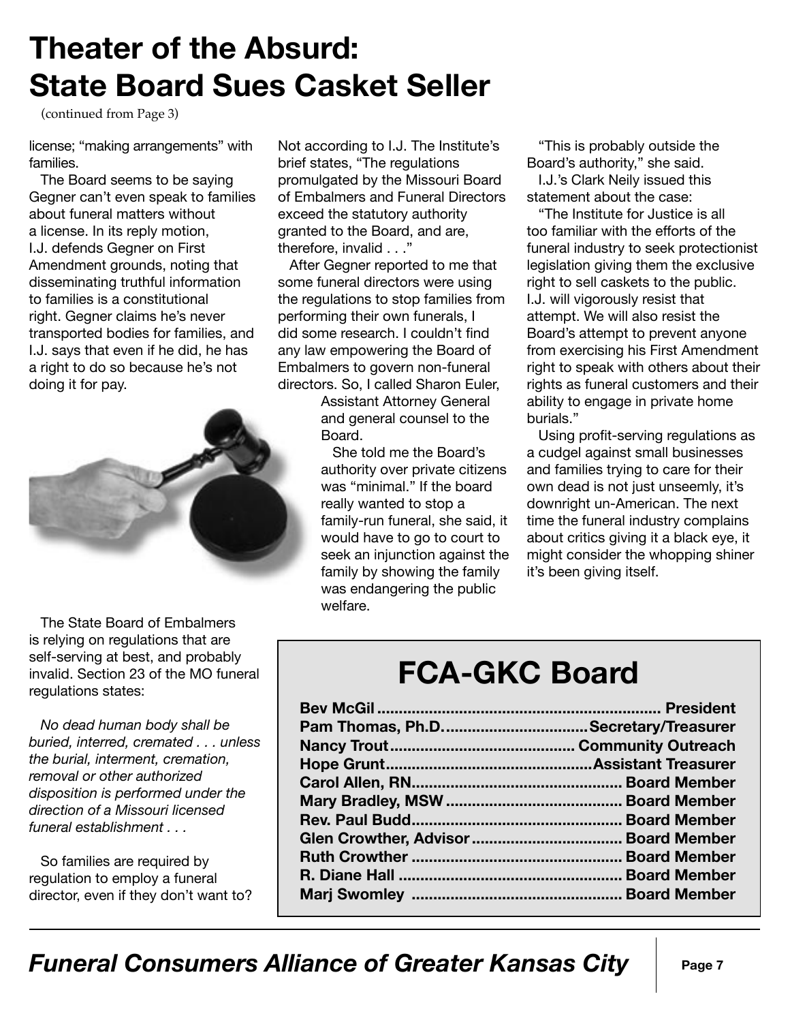## **Theater of the Absurd: State Board Sues Casket Seller**

(continued from Page 3)

license; "making arrangements" with families.

The Board seems to be saying Gegner can't even speak to families about funeral matters without a license. In its reply motion, I.J. defends Gegner on First Amendment grounds, noting that disseminating truthful information to families is a constitutional right. Gegner claims he's never transported bodies for families, and I.J. says that even if he did, he has a right to do so because he's not doing it for pay.



The State Board of Embalmers is relying on regulations that are self-serving at best, and probably invalid. Section 23 of the MO funeral regulations states:

*No dead human body shall be buried, interred, cremated . . . unless the burial, interment, cremation, removal or other authorized disposition is performed under the direction of a Missouri licensed funeral establishment . . .* 

So families are required by regulation to employ a funeral director, even if they don't want to? Not according to I.J. The Institute's brief states, "The regulations promulgated by the Missouri Board of Embalmers and Funeral Directors exceed the statutory authority granted to the Board, and are, therefore, invalid . . ."

After Gegner reported to me that some funeral directors were using the regulations to stop families from performing their own funerals, I did some research. I couldn't find any law empowering the Board of Embalmers to govern non-funeral directors. So, I called Sharon Euler,

> Assistant Attorney General and general counsel to the Board.

She told me the Board's authority over private citizens was "minimal." If the board really wanted to stop a family-run funeral, she said, it would have to go to court to seek an injunction against the family by showing the family was endangering the public welfare.

"This is probably outside the Board's authority," she said.

I.J.'s Clark Neily issued this statement about the case:

"The Institute for Justice is all too familiar with the efforts of the funeral industry to seek protectionist legislation giving them the exclusive right to sell caskets to the public. I.J. will vigorously resist that attempt. We will also resist the Board's attempt to prevent anyone from exercising his First Amendment right to speak with others about their rights as funeral customers and their ability to engage in private home burials."

Using profit-serving regulations as a cudgel against small businesses and families trying to care for their own dead is not just unseemly, it's downright un-American. The next time the funeral industry complains about critics giving it a black eye, it might consider the whopping shiner it's been giving itself.

#### **FCA-GKC Board**

| Pam Thomas, Ph.DSecretary/Treasurer |  |
|-------------------------------------|--|
|                                     |  |
|                                     |  |
|                                     |  |
|                                     |  |
|                                     |  |
|                                     |  |
|                                     |  |
|                                     |  |
|                                     |  |